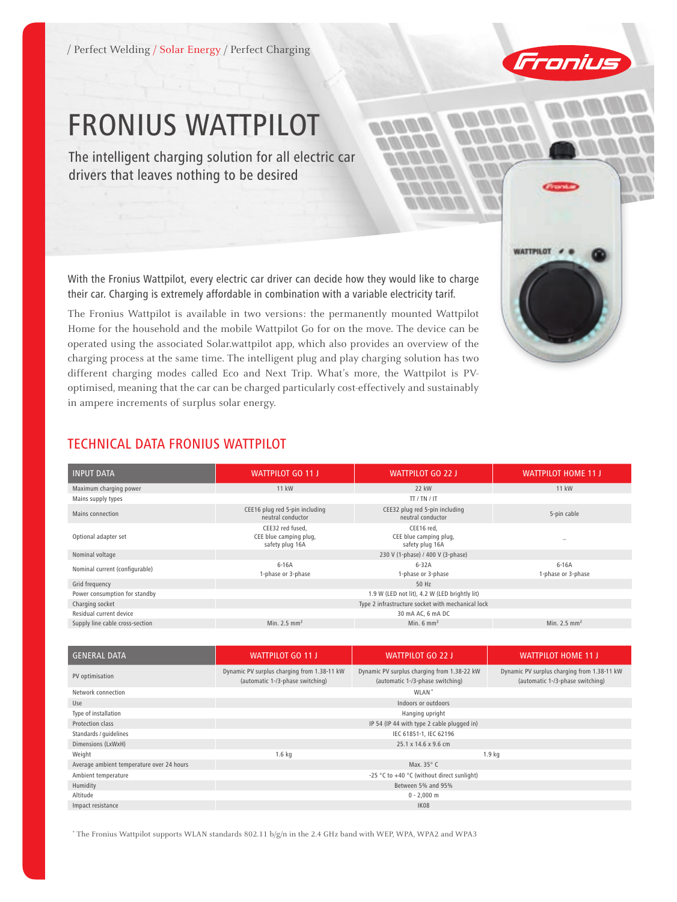/ Perfect Welding / Solar Energy / Perfect Charging



WATTPILOT # @

# FRONIUS WATTPILOT

The intelligent charging solution for all electric car drivers that leaves nothing to be desired

With the Fronius Wattpilot, every electric car driver can decide how they would like to charge their car. Charging is extremely affordable in combination with a variable electricity tarif.

The Fronius Wattpilot is available in two versions: the permanently mounted Wattpilot Home for the household and the mobile Wattpilot Go for on the move. The device can be operated using the associated Solar.wattpilot app, which also provides an overview of the charging process at the same time. The intelligent plug and play charging solution has two different charging modes called Eco and Next Trip. What's more, the Wattpilot is PVoptimised, meaning that the car can be charged particularly cost-effectively and sustainably in ampere increments of surplus solar energy.

# TECHNICAL DATA FRONIUS WATTPILOT

| <b>INPUT DATA</b>               | <b>WATTPILOT GO 11 J</b>                                      | <b>WATTPILOT GO 22 J</b>                                | <b>WATTPILOT HOME 11 J</b>    |  |
|---------------------------------|---------------------------------------------------------------|---------------------------------------------------------|-------------------------------|--|
| Maximum charging power          | 11 kW                                                         | 22 kW                                                   | <b>11 kW</b>                  |  |
| Mains supply types              |                                                               | TT / TN / IT                                            |                               |  |
| Mains connection                | CEE16 plug red 5-pin including<br>neutral conductor           | CEE32 plug red 5-pin including<br>neutral conductor     | 5-pin cable                   |  |
| Optional adapter set            | CEE32 red fused,<br>CEE blue camping plug,<br>safety plug 16A | CEE16 red,<br>CEE blue camping plug,<br>safety plug 16A | $\overline{\phantom{a}}$      |  |
| Nominal voltage                 |                                                               | 230 V (1-phase) / 400 V (3-phase)                       |                               |  |
| Nominal current (configurable)  | $6-16A$<br>1-phase or 3-phase                                 | $6-32A$<br>1-phase or 3-phase                           | $6-16A$<br>1-phase or 3-phase |  |
| Grid frequency                  | 50 Hz                                                         |                                                         |                               |  |
| Power consumption for standby   | 1.9 W (LED not lit), 4.2 W (LED brightly lit)                 |                                                         |                               |  |
| Charging socket                 | Type 2 infrastructure socket with mechanical lock             |                                                         |                               |  |
| Residual current device         |                                                               | 30 mA AC, 6 mA DC                                       |                               |  |
| Supply line cable cross-section | Min. $2.5$ mm <sup>2</sup>                                    | Min. $6 \text{ mm}^2$                                   | Min. 2.5 $mm2$                |  |

| <b>GENERAL DATA</b>                       | <b>WATTPILOT GO 11 J</b>                                                        | <b>WATTPILOT GO 22 J</b>                                                        | <b>WATTPILOT HOME 11 J</b>                                                      |  |
|-------------------------------------------|---------------------------------------------------------------------------------|---------------------------------------------------------------------------------|---------------------------------------------------------------------------------|--|
| PV optimisation                           | Dynamic PV surplus charging from 1.38-11 kW<br>(automatic 1-/3-phase switching) | Dynamic PV surplus charging from 1.38-22 kW<br>(automatic 1-/3-phase switching) | Dynamic PV surplus charging from 1.38-11 kW<br>(automatic 1-/3-phase switching) |  |
| Network connection                        | WLAN <sup>*</sup>                                                               |                                                                                 |                                                                                 |  |
| Use                                       | Indoors or outdoors                                                             |                                                                                 |                                                                                 |  |
| Type of installation                      | Hanging upright                                                                 |                                                                                 |                                                                                 |  |
| Protection class                          | IP 54 (IP 44 with type 2 cable plugged in)                                      |                                                                                 |                                                                                 |  |
| Standards / guidelines                    | IEC 61851-1, IEC 62196                                                          |                                                                                 |                                                                                 |  |
| Dimensions (LxWxH)                        | 25.1 x 14.6 x 9.6 cm                                                            |                                                                                 |                                                                                 |  |
| Weight                                    | $1.6$ kg<br>1.9 <sub>kg</sub>                                                   |                                                                                 |                                                                                 |  |
| Average ambient temperature over 24 hours | Max. $35^{\circ}$ C                                                             |                                                                                 |                                                                                 |  |
| Ambient temperature                       | -25 °C to +40 °C (without direct sunlight)                                      |                                                                                 |                                                                                 |  |
| Humidity                                  | Between 5% and 95%                                                              |                                                                                 |                                                                                 |  |
| Altitude                                  | $0 - 2,000$ m                                                                   |                                                                                 |                                                                                 |  |
| Impact resistance                         | <b>IK08</b>                                                                     |                                                                                 |                                                                                 |  |

\* The Fronius Wattpilot supports WLAN standards 802.11 b/g/n in the 2.4 GHz band with WEP, WPA, WPA2 and WPA3